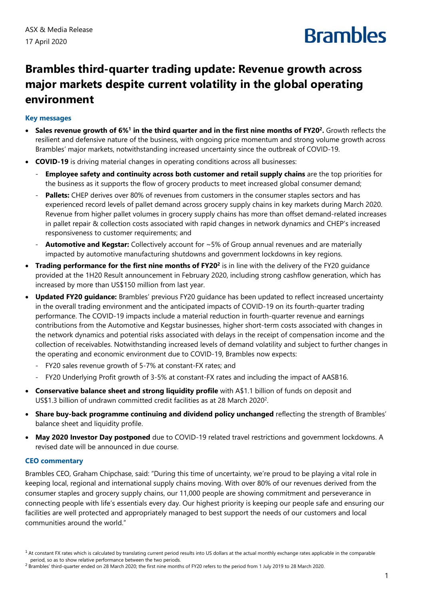## **Brambles**

### **Brambles third-quarter trading update: Revenue growth across major markets despite current volatility in the global operating environment**

### **Key messages**

- **Sales revenue growth of 6%<sup>1</sup> in the third quarter and in the first nine months of FY20<sup>2</sup>. Growth reflects the** resilient and defensive nature of the business, with ongoing price momentum and strong volume growth across Brambles' major markets, notwithstanding increased uncertainty since the outbreak of COVID-19.
- **COVID-19** is driving material changes in operating conditions across all businesses:
	- **Employee safety and continuity across both customer and retail supply chains** are the top priorities for the business as it supports the flow of grocery products to meet increased global consumer demand;
	- **Pallets:** CHEP derives over 80% of revenues from customers in the consumer staples sectors and has experienced record levels of pallet demand across grocery supply chains in key markets during March 2020. Revenue from higher pallet volumes in grocery supply chains has more than offset demand-related increases in pallet repair & collection costs associated with rapid changes in network dynamics and CHEP's increased responsiveness to customer requirements; and
	- **Automotive and Kegstar:** Collectively account for ~5% of Group annual revenues and are materially impacted by automotive manufacturing shutdowns and government lockdowns in key regions.
- **Trading performance for the first nine months of FY20<sup>2</sup> is in line with the delivery of the FY20 guidance** provided at the 1H20 Result announcement in February 2020, including strong cashflow generation, which has increased by more than US\$150 million from last year.
- **Updated FY20 guidance:** Brambles' previous FY20 guidance has been updated to reflect increased uncertainty in the overall trading environment and the anticipated impacts of COVID-19 on its fourth-quarter trading performance. The COVID-19 impacts include a material reduction in fourth-quarter revenue and earnings contributions from the Automotive and Kegstar businesses, higher short-term costs associated with changes in the network dynamics and potential risks associated with delays in the receipt of compensation income and the collection of receivables. Notwithstanding increased levels of demand volatility and subject to further changes in the operating and economic environment due to COVID-19, Brambles now expects:
	- FY20 sales revenue growth of 5-7% at constant-FX rates; and
	- FY20 Underlying Profit growth of 3-5% at constant-FX rates and including the impact of AASB16.
- **Conservative balance sheet and strong liquidity profile** with A\$1.1 billion of funds on deposit and US\$1.3 billion of undrawn committed credit facilities as at 28 March 20202.
- **Share buy-back programme continuing and dividend policy unchanged** reflecting the strength of Brambles' balance sheet and liquidity profile.
- **May 2020 Investor Day postponed** due to COVID-19 related travel restrictions and government lockdowns. A revised date will be announced in due course.

#### **CEO commentary**

Brambles CEO, Graham Chipchase, said: "During this time of uncertainty, we're proud to be playing a vital role in keeping local, regional and international supply chains moving. With over 80% of our revenues derived from the consumer staples and grocery supply chains, our 11,000 people are showing commitment and perseverance in connecting people with life's essentials every day. Our highest priority is keeping our people safe and ensuring our facilities are well protected and appropriately managed to best support the needs of our customers and local communities around the world."

 $1$  At constant FX rates which is calculated by translating current period results into US dollars at the actual monthly exchange rates applicable in the comparable period, so as to show relative performance between the two periods.

<sup>&</sup>lt;sup>2</sup> Brambles' third-quarter ended on 28 March 2020; the first nine months of FY20 refers to the period from 1 July 2019 to 28 March 2020.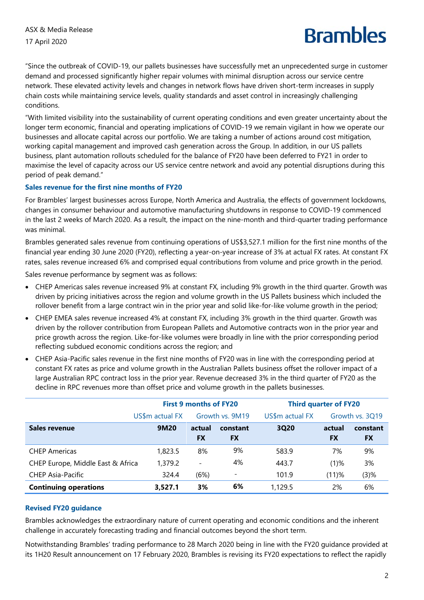# **Rrambles**

"Since the outbreak of COVID-19, our pallets businesses have successfully met an unprecedented surge in customer demand and processed significantly higher repair volumes with minimal disruption across our service centre network. These elevated activity levels and changes in network flows have driven short-term increases in supply chain costs while maintaining service levels, quality standards and asset control in increasingly challenging conditions.

"With limited visibility into the sustainability of current operating conditions and even greater uncertainty about the longer term economic, financial and operating implications of COVID-19 we remain vigilant in how we operate our businesses and allocate capital across our portfolio. We are taking a number of actions around cost mitigation, working capital management and improved cash generation across the Group. In addition, in our US pallets business, plant automation rollouts scheduled for the balance of FY20 have been deferred to FY21 in order to maximise the level of capacity across our US service centre network and avoid any potential disruptions during this period of peak demand."

### **Sales revenue for the first nine months of FY20**

For Brambles' largest businesses across Europe, North America and Australia, the effects of government lockdowns, changes in consumer behaviour and automotive manufacturing shutdowns in response to COVID-19 commenced in the last 2 weeks of March 2020. As a result, the impact on the nine-month and third-quarter trading performance was minimal.

Brambles generated sales revenue from continuing operations of US\$3,527.1 million for the first nine months of the financial year ending 30 June 2020 (FY20), reflecting a year-on-year increase of 3% at actual FX rates. At constant FX rates, sales revenue increased 6% and comprised equal contributions from volume and price growth in the period.

Sales revenue performance by segment was as follows:

- CHEP Americas sales revenue increased 9% at constant FX, including 9% growth in the third quarter. Growth was driven by pricing initiatives across the region and volume growth in the US Pallets business which included the rollover benefit from a large contract win in the prior year and solid like-for-like volume growth in the period;
- CHEP EMEA sales revenue increased 4% at constant FX, including 3% growth in the third quarter. Growth was driven by the rollover contribution from European Pallets and Automotive contracts won in the prior year and price growth across the region. Like-for-like volumes were broadly in line with the prior corresponding period reflecting subdued economic conditions across the region; and
- CHEP Asia-Pacific sales revenue in the first nine months of FY20 was in line with the corresponding period at constant FX rates as price and volume growth in the Australian Pallets business offset the rollover impact of a large Australian RPC contract loss in the prior year. Revenue decreased 3% in the third quarter of FY20 as the decline in RPC revenues more than offset price and volume growth in the pallets businesses.

|                                   | <b>First 9 months of FY20</b> |                          |                          | <b>Third quarter of FY20</b> |                 |           |
|-----------------------------------|-------------------------------|--------------------------|--------------------------|------------------------------|-----------------|-----------|
|                                   | US\$m actual FX               |                          | Growth vs. 9M19          | US\$m actual FX              | Growth vs. 3Q19 |           |
| Sales revenue                     | 9M20                          | actual                   | constant                 | 3Q20                         | actual          | constant  |
|                                   |                               | <b>FX</b>                | <b>FX</b>                |                              | <b>FX</b>       | <b>FX</b> |
| <b>CHEP Americas</b>              | 1,823.5                       | 8%                       | 9%                       | 583.9                        | 7%              | 9%        |
| CHEP Europe, Middle East & Africa | 1,379.2                       | $\overline{\phantom{0}}$ | 4%                       | 443.7                        | $(1)$ %         | 3%        |
| <b>CHEP Asia-Pacific</b>          | 324.4                         | (6%)                     | $\overline{\phantom{a}}$ | 101.9                        | (11)%           | (3)%      |
| <b>Continuing operations</b>      | 3,527.1                       | 3%                       | 6%                       | 1,129.5                      | 2%              | 6%        |

#### **Revised FY20 guidance**

Brambles acknowledges the extraordinary nature of current operating and economic conditions and the inherent challenge in accurately forecasting trading and financial outcomes beyond the short term.

Notwithstanding Brambles' trading performance to 28 March 2020 being in line with the FY20 guidance provided at its 1H20 Result announcement on 17 February 2020, Brambles is revising its FY20 expectations to reflect the rapidly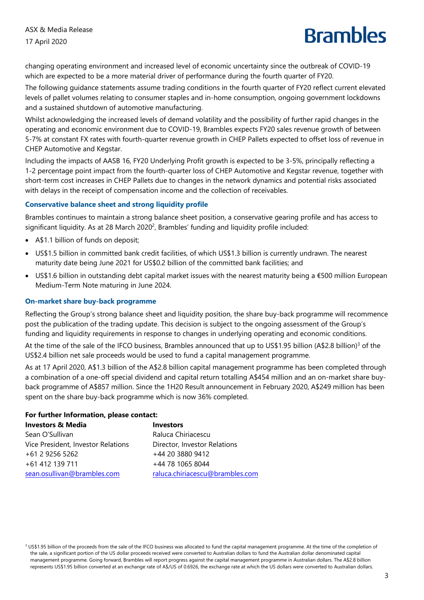## **Brambles**

changing operating environment and increased level of economic uncertainty since the outbreak of COVID-19 which are expected to be a more material driver of performance during the fourth quarter of FY20.

The following guidance statements assume trading conditions in the fourth quarter of FY20 reflect current elevated levels of pallet volumes relating to consumer staples and in-home consumption, ongoing government lockdowns and a sustained shutdown of automotive manufacturing.

Whilst acknowledging the increased levels of demand volatility and the possibility of further rapid changes in the operating and economic environment due to COVID-19, Brambles expects FY20 sales revenue growth of between 5-7% at constant FX rates with fourth-quarter revenue growth in CHEP Pallets expected to offset loss of revenue in CHEP Automotive and Kegstar.

Including the impacts of AASB 16, FY20 Underlying Profit growth is expected to be 3-5%, principally reflecting a 1-2 percentage point impact from the fourth-quarter loss of CHEP Automotive and Kegstar revenue, together with short-term cost increases in CHEP Pallets due to changes in the network dynamics and potential risks associated with delays in the receipt of compensation income and the collection of receivables.

### **Conservative balance sheet and strong liquidity profile**

Brambles continues to maintain a strong balance sheet position, a conservative gearing profile and has access to significant liquidity. As at 28 March 2020<sup>2</sup>, Brambles' funding and liquidity profile included:

- A\$1.1 billion of funds on deposit;
- US\$1.5 billion in committed bank credit facilities, of which US\$1.3 billion is currently undrawn. The nearest maturity date being June 2021 for US\$0.2 billion of the committed bank facilities; and
- US\$1.6 billion in outstanding debt capital market issues with the nearest maturity being a €500 million European Medium-Term Note maturing in June 2024.

#### **On-market share buy-back programme**

Reflecting the Group's strong balance sheet and liquidity position, the share buy-back programme will recommence post the publication of the trading update. This decision is subject to the ongoing assessment of the Group's funding and liquidity requirements in response to changes in underlying operating and economic conditions.

At the time of the sale of the IFCO business, Brambles announced that up to US\$1.95 billion (A\$2.8 billion)<sup>3</sup> of the US\$2.4 billion net sale proceeds would be used to fund a capital management programme.

As at 17 April 2020, A\$1.3 billion of the A\$2.8 billion capital management programme has been completed through a combination of a one-off special dividend and capital return totalling A\$454 million and an on-market share buyback programme of A\$857 million. Since the 1H20 Result announcement in February 2020, A\$249 million has been spent on the share buy-back programme which is now 36% completed.

#### **For further Information, please contact:**

| <b>Investors &amp; Media</b>       | <b>Investors</b>                |
|------------------------------------|---------------------------------|
| Sean O'Sullivan                    | Raluca Chiriacescu              |
| Vice President, Investor Relations | Director, Investor Relations    |
| +61 2 9256 5262                    | +44 20 3880 9412                |
| +61 412 139 711                    | +44 78 1065 8044                |
| sean.osullivan@brambles.com        | raluca.chiriacescu@brambles.com |
|                                    |                                 |

<sup>3</sup> US\$1.95 billion of the proceeds from the sale of the IFCO business was allocated to fund the capital management programme. At the time of the completion of the sale, a significant portion of the US dollar proceeds received were converted to Australian dollars to fund the Australian dollar denominated capital management programme. Going forward, Brambles will report progress against the capital management programme in Australian dollars. The A\$2.8 billion represents US\$1.95 billion converted at an exchange rate of A\$/US of 0.6926, the exchange rate at which the US dollars were converted to Australian dollars.